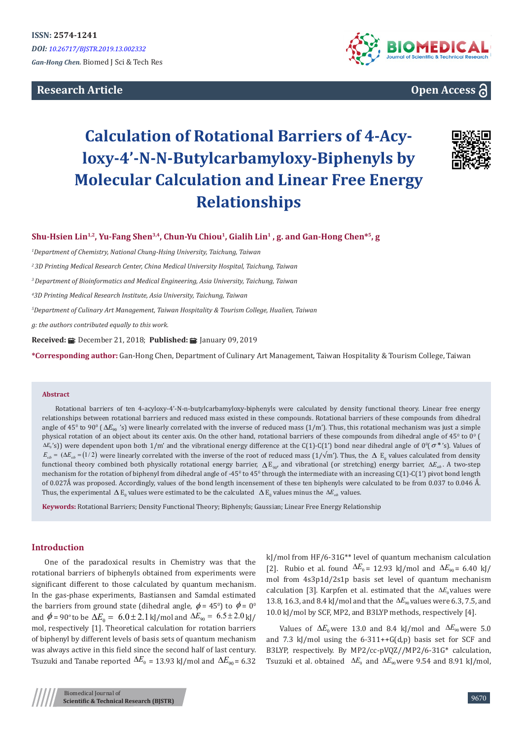# **Research Article**



**Open Access**

# **Calculation of Rotational Barriers of 4-Acyloxy-4'-N-N-Butylcarbamyloxy-Biphenyls by Molecular Calculation and Linear Free Energy Relationships**



**Shu-Hsien Lin1,2, Yu-Fang Shen3,4, Chun-Yu Chiou1, Gialih Lin1 , g. and Gan-Hong Chen\*5, g**

*1 Department of Chemistry, National Chung-Hsing University, Taichung, Taiwan*

*2 3D Printing Medical Research Center, China Medical University Hospital, Taichung, Taiwan*

*3 Department of Bioinformatics and Medical Engineering, Asia University, Taichung, Taiwan*

*4 3D Printing Medical Research Institute, Asia University, Taichung, Taiwan*

*5 Department of Culinary Art Management, Taiwan Hospitality & Tourism College, Hualien, Taiwan*

*g: the authors contributed equally to this work.*

**Received: : E:** December 21, 2018; **Published: 国:** January 09, 2019

**\*Corresponding author:** Gan-Hong Chen, Department of Culinary Art Management, Taiwan Hospitality & Tourism College, Taiwan

#### **Abstract**

Rotational barriers of ten 4-acyloxy-4'-N-n-butylcarbamyloxy-biphenyls were calculated by density functional theory. Linear free energy relationships between rotational barriers and reduced mass existed in these compounds. Rotational barriers of these compounds from dihedral angle of 45<sup>0</sup> to 90<sup>0</sup> ( $\Delta E_{90}$  's) were linearly correlated with the inverse of reduced mass (1/m'). Thus, this rotational mechanism was just a simple physical rotation of an object about its center axis. On the other hand, rotational barriers of these compounds from dihedral angle of 45° to 0° (  $\Delta E_0$ 's)) were dependent upon both 1/m' and the vibrational energy difference at the C(1)-C(1') bond near dihedral angle of 0º( $\sigma^*$ 's). Values of  $E_{\text{vib}} = (\Delta E_{\text{vib}} = (1/2)$  were linearly correlated with the inverse of the root of reduced mass  $(1/\sqrt{m})$ . Thus, the  $\Delta E_0$  values calculated from density functional theory combined both physically rotational energy barrier, ∆ E90, and vibrational (or stretching) energy barrier, ∆*Evib* . A two-step mechanism for the rotation of biphenyl from dihedral angle of -45° to 45° through the intermediate with an increasing  $C(1)$ - $C(1')$  pivot bond length of 0.027Å was proposed. Accordingly, values of the bond length incensement of these ten biphenyls were calculated to be from 0.037 to 0.046 Å. Thus, the experimental  $\Delta E_0$  values were estimated to be the calculated  $\Delta E_0$  values minus the  $\Delta E_{vib}$  values.

**Keywords:** Rotational Barriers; Density Functional Theory; Biphenyls; Gaussian; Linear Free Energy Relationship

## **Introduction**

One of the paradoxical results in Chemistry was that the rotational barriers of biphenyls obtained from experiments were significant different to those calculated by quantum mechanism. In the gas-phase experiments, Bastiansen and Samdal estimated the barriers from ground state (dihedral angle,  $\phi = 45^{\circ}$ ) to  $\phi = 0^{\circ}$ and  $\phi = 90^\circ$  to be  $\Delta E_0 = 6.0 \pm 2.1 \text{ kJ/mol}$  and  $\Delta E_{90} = 6.5 \pm 2.0 \text{ kJ/A}$ mol, respectively [1]. Theoretical calculation for rotation barriers of biphenyl by different levels of basis sets of quantum mechanism was always active in this field since the second half of last century. Tsuzuki and Tanabe reported  $\Delta E_0$  = 13.93 kJ/mol and  $\Delta E_{90}$  = 6.32

kJ/mol from HF/6-31G\*\* level of quantum mechanism calculation [2]. Rubio et al. found  $\Delta E_0 = 12.93$  kJ/mol and  $\Delta E_{90} = 6.40$  kJ/ mol from 4s3p1d/2s1p basis set level of quantum mechanism calculation [3]. Karpfen et al. estimated that the ∆*E*<sub>0</sub> values were 13.8, 16.3, and 8.4 kJ/mol and that the ∆*E*<sup>90</sup> values were 6.3, 7.5, and 10.0 kJ/mol by SCF, MP2, and B3LYP methods, respectively [4].

Values of  $\Delta E_0$  were 13.0 and 8.4 kJ/mol and  $\Delta E_{90}$  were 5.0 and 7.3 kJ/mol using the  $6-311++G(d,p)$  basis set for SCF and B3LYP, respectively. By MP2/cc-pVQZ//MP2/6-31G\* calculation, Tsuzuki et al. obtained  $\Delta E_0$  and  $\Delta E_{90}$  were 9.54 and 8.91 kJ/mol,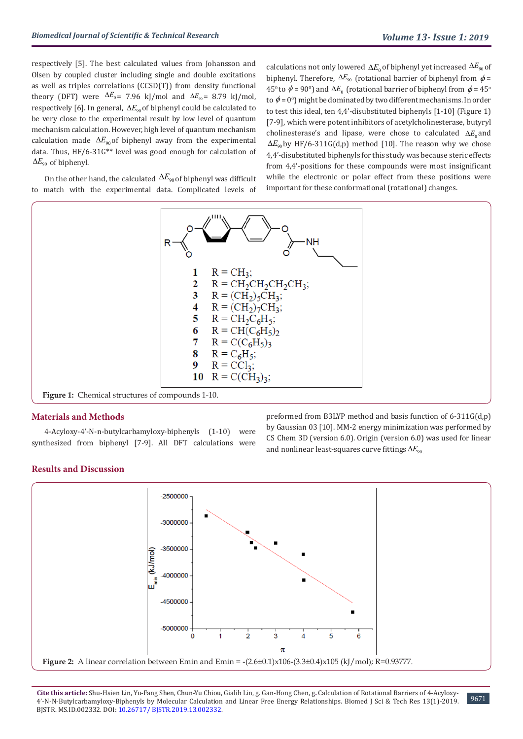respectively [5]. The best calculated values from Johansson and Olsen by coupled cluster including single and double excitations as well as triples correlations (CCSD(T)) from density functional theory (DFT) were  $\Delta E_0$  = 7.96 kJ/mol and  $\Delta E_{90}$  = 8.79 kJ/mol, respectively [6]. In general,  $\Delta E_{\text{00}}$  of biphenyl could be calculated to be very close to the experimental result by low level of quantum mechanism calculation. However, high level of quantum mechanism calculation made  $\Delta E_{90}$  of biphenyl away from the experimental data. Thus, HF/6-31G\*\* level was good enough for calculation of  $\Delta E_{90}$  of biphenyl.

On the other hand, the calculated  $\Delta E_{90}$  of biphenyl was difficult to match with the experimental data. Complicated levels of calculations not only lowered  $\Delta E_0$  of biphenyl yet increased  $\Delta E_{90}$  of biphenyl. Therefore,  $\Delta E_{90}$  (rotational barrier of biphenyl from  $\phi =$ 45<sup>0</sup> to  $\phi$  = 90<sup>0</sup>) and Δ $E_0$  (rotational barrier of biphenyl from  $\phi$  = 45<sup>o</sup> to  $\phi = 0^{\circ}$ ) might be dominated by two different mechanisms. In order to test this ideal, ten 4,4'-disubstituted biphenyls [1-10] (Figure 1) [7-9], which were potent inhibitors of acetylcholinesterase, butyryl cholinesterase's and lipase, were chose to calculated ∆*E*<sub>0</sub> and  $\Delta E_{90}$  by HF/6-311G(d,p) method [10]. The reason why we chose 4,4'-disubstituted biphenyls for this study was because steric effects from 4,4'-positions for these compounds were most insignificant while the electronic or polar effect from these positions were important for these conformational (rotational) changes.



**Figure 1:** Chemical structures of compounds 1-10.

## **Materials and Methods**

4-Acyloxy-4'-N-n-butylcarbamyloxy-biphenyls (1-10) were synthesized from biphenyl [7-9]. All DFT calculations were preformed from B3LYP method and basis function of 6-311G(d,p) by Gaussian 03 [10]. MM-2 energy minimization was performed by CS Chem 3D (version 6.0). Origin (version 6.0) was used for linear and nonlinear least-squares curve fittings  $\Delta E_{90}$ 

#### **Results and Discussion**



**Cite this article:** Shu-Hsien Lin, Yu-Fang Shen, Chun-Yu Chiou, Gialih Lin, g. Gan-Hong Chen, g**.** Calculation of Rotational Barriers of 4-Acyloxy-4'-N-N-Butylcarbamyloxy-Biphenyls by Molecular Calculation and Linear Free Energy Relationships. Biomed J Sci & Tech Res 13(1)-2019. BJSTR. MS.ID.002332. DOI: [10.26717/ BJSTR.2019.13.002332](http://dx.doi.org/10.26717/BJSTR.2019.13.002332).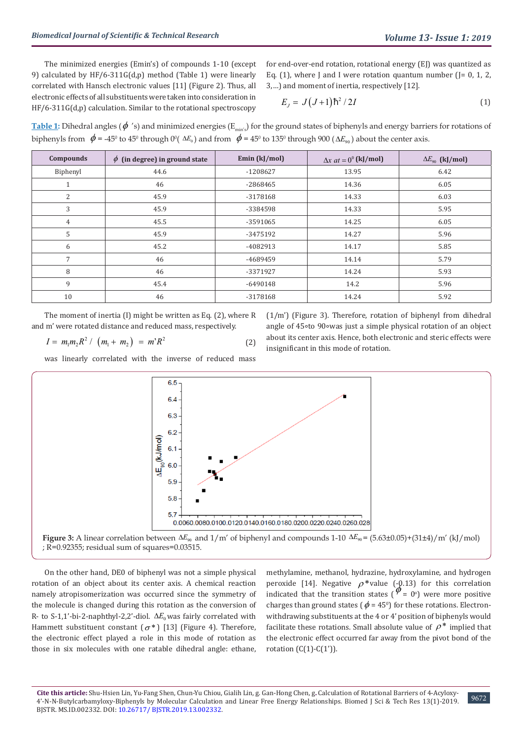The minimized energies (Emin's) of compounds 1-10 (except 9) calculated by HF/6-311G(d,p) method (Table 1) were linearly correlated with Hansch electronic values [11] (Figure 2). Thus, all electronic effects of all substituents were taken into consideration in HF/6-311G(d,p) calculation. Similar to the rotational spectroscopy

for end-over-end rotation, rotational energy (EJ) was quantized as Eq. (1), where J and I were rotation quantum number (J= 0, 1, 2, 3,…) and moment of inertia, respectively [12].

$$
E_J = J\left(J+1\right)\hbar^2/2I\tag{1}
$$

**Table 1:** Dihedral angles ( $\phi$ 's) and minimized energies ( $E_{min's}$ ) for the ground states of biphenyls and energy barriers for rotations of biphenyls from  $\phi$  = -45<sup>0</sup> to 45<sup>0</sup> through 0<sup>0</sup>(  $\Delta E_{0}$ ) and from  $\phi$  = 45<sup>0</sup> to 135<sup>0</sup> through 900 ( $\Delta E_{90}$ ) about the center axis.

| Compounds      | $\phi$ (in degree) in ground state | Emin $(kJ/mol)$ | $\Delta x$ at = 0 <sup>0</sup> (kJ/mol) | $\Delta E_{90}$ (kJ/mol) |
|----------------|------------------------------------|-----------------|-----------------------------------------|--------------------------|
| Biphenyl       | 44.6                               | $-1208627$      | 13.95                                   | 6.42                     |
| Τ.             | 46                                 | -2868465        | 14.36                                   | 6.05                     |
| 2              | 45.9                               | -3178168        | 14.33                                   | 6.03                     |
| 3              | 45.9                               | -3384598        | 14.33                                   | 5.95                     |
| $\overline{4}$ | 45.5                               | -3591065        | 14.25                                   | 6.05                     |
| 5              | 45.9                               | -3475192        | 14.27                                   | 5.96                     |
| 6              | 45.2                               | -4082913        | 14.17                                   | 5.85                     |
| 7              | 46                                 | -4689459        | 14.14                                   | 5.79                     |
| 8              | 46                                 | -3371927        | 14.24                                   | 5.93                     |
| 9              | 45.4                               | $-6490148$      | 14.2                                    | 5.96                     |
| 10             | 46                                 | -3178168        | 14.24                                   | 5.92                     |

The moment of inertia (I) might be written as Eq. (2), where R and m' were rotated distance and reduced mass, respectively.

(1/m') (Figure 3). Therefore, rotation of biphenyl from dihedral angle of 45∘to 90∘was just a simple physical rotation of an object about its center axis. Hence, both electronic and steric effects were insignificant in this mode of rotation.

$$
I = m_1 m_2 R^2 / (m_1 + m_2) = m^2 R^2
$$
 (2)

was linearly correlated with the inverse of reduced mass



**Figure 3:** A linear correlation between  $\Delta E_{90}$  and  $1/m'$  of biphenyl and compounds 1-10  $\Delta E_{90} = (5.63\pm0.05)+(31\pm4)/m'$  (kJ/mol) ; R=0.92355; residual sum of squares=0.03515.

On the other hand, DE0 of biphenyl was not a simple physical rotation of an object about its center axis. A chemical reaction namely atropisomerization was occurred since the symmetry of the molecule is changed during this rotation as the conversion of R- to S-1,1'-bi-2-naphthyl-2,2'-diol. ∆*E*<sub>0</sub> was fairly correlated with Hammett substituent constant  $(\sigma^*)$  [13] (Figure 4). Therefore, the electronic effect played a role in this mode of rotation as those in six molecules with one ratable dihedral angle: ethane,

methylamine, methanol, hydrazine, hydroxylamine, and hydrogen peroxide [14]. Negative  $\rho^*$  value (-0.13) for this correlation indicated that the transition states  $(\phi = 0^\circ)$  were more positive charges than ground states ( $\phi$  = 45<sup>0</sup>) for these rotations. Electronwithdrawing substituents at the 4 or 4' position of biphenyls would facilitate these rotations. Small absolute value of  $\rho^*$  implied that the electronic effect occurred far away from the pivot bond of the rotation  $(C(1)-C(1'))$ .

9672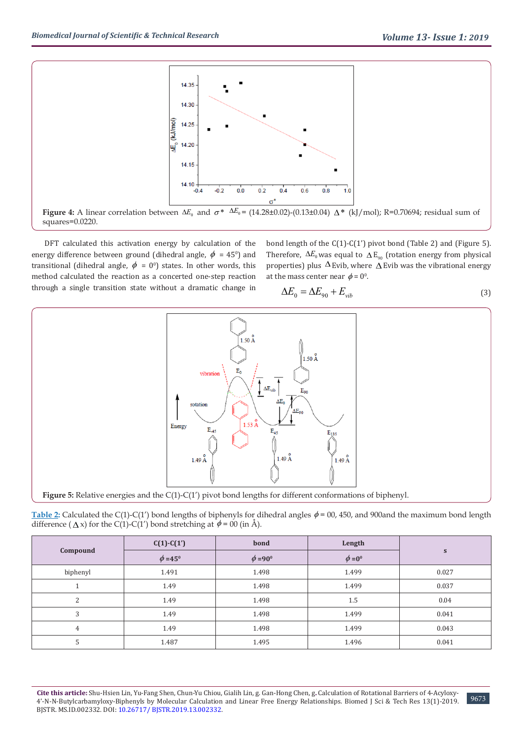

**Figure 4:** A linear correlation between  $\Delta E_0$  and  $\sigma^*$   $\Delta E_0 = (14.28 \pm 0.02)$ -(0.13±0.04)  $\Delta^*$  (kJ/mol); R=0.70694; residual sum of squares=0.0220.

DFT calculated this activation energy by calculation of the energy difference between ground (dihedral angle,  $\phi = 45^{\circ}$ ) and transitional (dihedral angle,  $\phi = 0^0$ ) states. In other words, this method calculated the reaction as a concerted one-step reaction through a single transition state without a dramatic change in

bond length of the C(1)-C(1') pivot bond (Table 2) and (Figure 5). Therefore,  $\Delta E_0$  was equal to  $\Delta E_{90}$  (rotation energy from physical properties) plus  $\Delta$  Evib, where  $\Delta$  Evib was the vibrational energy at the mass center near  $\phi = 0^{\circ}$ .

$$
\Delta E_0 = \Delta E_{90} + E_{vib} \tag{3}
$$



**Table 2:** Calculated the C(1)-C(1') bond lengths of biphenyls for dihedral angles  $\phi$  = 00, 450, and 900and the maximum bond length difference ( $\Delta x$ ) for the C(1)-C(1') bond stretching at  $\phi = 00$  (in Å).

|          | $C(1)$ - $C(1')$    | bond                | Length       | S     |
|----------|---------------------|---------------------|--------------|-------|
| Compound | $\phi = 45^{\circ}$ | $\phi = 90^{\circ}$ | $\phi = 0^0$ |       |
| biphenyl | 1.491               | 1.498               | 1.499        | 0.027 |
|          | 1.49                | 1.498               | 1.499        | 0.037 |
| C        | 1.49                | 1.498               | 1.5          | 0.04  |
| 3        | 1.49                | 1.498               | 1.499        | 0.041 |
| 4        | 1.49                | 1.498               | 1.499        | 0.043 |
| J.       | 1.487               | 1.495               | 1.496        | 0.041 |

**Cite this article:** Shu-Hsien Lin, Yu-Fang Shen, Chun-Yu Chiou, Gialih Lin, g. Gan-Hong Chen, g**.** Calculation of Rotational Barriers of 4-Acyloxy-4'-N-N-Butylcarbamyloxy-Biphenyls by Molecular Calculation and Linear Free Energy Relationships. Biomed J Sci & Tech Res 13(1)-2019. BJSTR. MS.ID.002332. DOI: [10.26717/ BJSTR.2019.13.002332](http://dx.doi.org/10.26717/BJSTR.2019.13.002332).

9673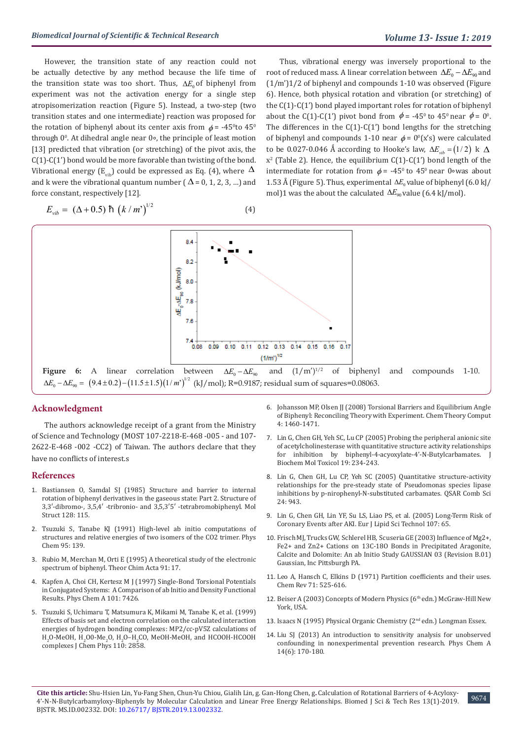However, the transition state of any reaction could not be actually detective by any method because the life time of the transition state was too short. Thus, ∆*E*<sub>0</sub> of biphenyl from experiment was not the activation energy for a single step atropisomerization reaction (Figure 5). Instead, a two-step (two transition states and one intermediate) reaction was proposed for the rotation of biphenyl about its center axis from  $\phi$  = -45ºto 45º through 00 . At dihedral angle near 0∘, the principle of least motion [13] predicted that vibration (or stretching) of the pivot axis, the C(1)-C(1') bond would be more favorable than twisting of the bond. Vibrational energy ( $E_{vib}$ ) could be expressed as Eq. (4), where  $\Delta$ and k were the vibrational quantum number ( $\Delta$  = 0, 1, 2, 3, ...) and force constant, respectively [12].

$$
E_{vib} = (\Delta + 0.5) \hbox{ h } (k/m')^{1/2}
$$
 (4)

Thus, vibrational energy was inversely proportional to the root of reduced mass. A linear correlation between  $\Delta E_0 - \Delta E_{\text{on}}$  and (1/m')1/2 of biphenyl and compounds 1-10 was observed (Figure 6). Hence, both physical rotation and vibration (or stretching) of the C(1)-C(1') bond played important roles for rotation of biphenyl about the C(1)-C(1') pivot bond from  $\phi$  = -45<sup>0</sup> to 45<sup>0</sup> near  $\phi$  = 0<sup>0</sup>. The differences in the  $C(1)-C(1')$  bond lengths for the stretching of biphenyl and compounds 1-10 near  $\phi = 0^{\circ}$ (x's) were calculated to be 0.027-0.046 Å according to Hooke's law,  $\Delta E_{\mu\nu} = (1/2) \, \text{k} \, \Delta$  $x^2$  (Table 2). Hence, the equilibrium C(1)-C(1') bond length of the intermediate for rotation from  $\phi$  = -45<sup>0</sup> to 45<sup>0</sup> near 0∘was about 1.53 Å (Figure 5). Thus, experimental  $\Delta E_0$  value of biphenyl (6.0 kJ/ mol)1 was the about the calculated  $\Delta E_{90}$  value (6.4 kJ/mol).



#### **Acknowledgment**

The authors acknowledge receipt of a grant from the Ministry of Science and Technology (MOST 107-2218-E-468 -005 - and 107- 2622-E-468 -002 -CC2) of Taiwan. The authors declare that they have no conflicts of interest.s

#### **References**

- 1. [Bastiansen O, Samdal SJ \(1985\) Structure and barrier to internal](https://www.sciencedirect.com/science/article/abs/pii/0022286085850420)  [rotation of biphenyl derivatives in the gaseous state: Part 2. Structure of](https://www.sciencedirect.com/science/article/abs/pii/0022286085850420)  [3,3′-dibromo-, 3,5,4′ -tribronio- and 3,5,3′5′ -tetrabromobiphenyl. Mol](https://www.sciencedirect.com/science/article/abs/pii/0022286085850420)  [Struct 128: 115.](https://www.sciencedirect.com/science/article/abs/pii/0022286085850420)
- 2. [Tsuzuki S, Tanabe KJ \(1991\) High-level ab initio computations of](https://aip.scitation.org/doi/10.1063/1.479688)  [structures and relative energies of two isomers of the CO2 trimer. Phys](https://aip.scitation.org/doi/10.1063/1.479688)  [Chem 95: 139.](https://aip.scitation.org/doi/10.1063/1.479688)
- 3. [Rubio M, Merchan M, Orti E \(1995\) A theoretical study of the electronic](https://www.sciencedirect.com/science/article/abs/pii/000926149401479F)  [spectrum of biphenyl. Theor Chim Acta 91: 17.](https://www.sciencedirect.com/science/article/abs/pii/000926149401479F)
- 4. [Kapfen A, Choi CH, Kertesz M J \(1997\) Single-Bond Torsional Potentials](https://pubs.acs.org/doi/abs/10.1021/jp971606l)  [in Conjugated Systems:  A Comparison of ab Initio and Density Functional](https://pubs.acs.org/doi/abs/10.1021/jp971606l)  [Results. Phys Chem A 101: 7426.](https://pubs.acs.org/doi/abs/10.1021/jp971606l)
- 5. [Tsuzuki S, Uchimaru T, Matsumura K, Mikami M, Tanabe K, et al. \(1999\)](https://aip.scitation.org/doi/10.1063/1.479130)  [Effects of basis set and electron correlation on the calculated interaction](https://aip.scitation.org/doi/10.1063/1.479130)  [energies of hydrogen bonding complexes: MP2/cc-pV5Z calculations of](https://aip.scitation.org/doi/10.1063/1.479130)   $H_2O$ -MeOH,  $H_2OO$ -Me<sub>2</sub>O, H<sub>2</sub>O–H<sub>2</sub>CO, MeOH-MeOH, and HCOOH-HCOOH [complexes J Chem Phys 110: 2858.](https://aip.scitation.org/doi/10.1063/1.479130)
- 6. [Johansson MP, Olsen JJ \(2008\) Torsional Barriers and Equilibrium Angle](https://pubs.acs.org/doi/abs/10.1021/ct800182e) [of Biphenyl: Reconciling Theory with Experiment. Chem Theory Comput](https://pubs.acs.org/doi/abs/10.1021/ct800182e) [4: 1460-1471.](https://pubs.acs.org/doi/abs/10.1021/ct800182e)
- 7. [Lin G, Chen GH, Yeh SC, Lu CP \(2005\) Probing the peripheral anionic site](https://www.ncbi.nlm.nih.gov/pubmed/16173062) [of acetylcholinesterase with quantitative structure activity relationships](https://www.ncbi.nlm.nih.gov/pubmed/16173062) [for inhibition by biphenyl-4-acyoxylate-4'-N-Butylcarbamates. J](https://www.ncbi.nlm.nih.gov/pubmed/16173062) [Biochem Mol Toxicol 19: 234-243.](https://www.ncbi.nlm.nih.gov/pubmed/16173062)
- 8. [Lin G, Chen GH, Lu CP, Yeh SC \(2005\) Quantitative structure-activity](https://www.ncbi.nlm.nih.gov/pubmed/16283542) [relationships for the pre-steady state of Pseudomonas species lipase](https://www.ncbi.nlm.nih.gov/pubmed/16283542) [inhibitions by p-nirophenyl-N-substituted carbamates. QSAR Comb Sci](https://www.ncbi.nlm.nih.gov/pubmed/16283542) [24: 943.](https://www.ncbi.nlm.nih.gov/pubmed/16283542)
- 9. [Lin G, Chen GH, Lin YF, Su LS, Liao PS, et al. \(2005\) Long-Term Risk of](https://www.ncbi.nlm.nih.gov/pmc/articles/PMC3935592/) [Coronary Events after AKI. Eur J Lipid Sci Technol 107: 65.](https://www.ncbi.nlm.nih.gov/pmc/articles/PMC3935592/)
- 10. [Frisch MJ, Trucks GW, Schlerel HB, Scuseria GE \(2003\) Influence of Mg2+,](https://www.scirp.org/(S(i43dyn45teexjx455qlt3d2q))/reference/ReferencesPapers.aspx?ReferenceID=1472380) [Fe2+ and Zn2+ Cations on 13C-18O Bonds in Precipitated Aragonite,](https://www.scirp.org/(S(i43dyn45teexjx455qlt3d2q))/reference/ReferencesPapers.aspx?ReferenceID=1472380) [Calcite and Dolomite: An ab Initio Study GAUSSIAN 03 \(Revision B.01\)](https://www.scirp.org/(S(i43dyn45teexjx455qlt3d2q))/reference/ReferencesPapers.aspx?ReferenceID=1472380) [Gaussian, Inc Pittsburgh PA.](https://www.scirp.org/(S(i43dyn45teexjx455qlt3d2q))/reference/ReferencesPapers.aspx?ReferenceID=1472380)
- 11. [Leo A, Hansch C, Elkins D \(1971\) Partition coefficients and their uses.](https://pubs.acs.org/doi/10.1021/cr60274a001) [Chem Rev 71: 525-616.](https://pubs.acs.org/doi/10.1021/cr60274a001)
- 12. [Beiser A \(2003\) Concepts of Modern Physics \(6](http://web.pdx.edu/~pmoeck/lectures/beiser%206.pdf)<sup>th</sup> edn.) McGraw-Hill New [York, USA.](http://web.pdx.edu/~pmoeck/lectures/beiser%206.pdf)
- 13. [Isaacs N \(1995\) Physical Organic Chemistry \(2](https://www.amazon.com/Physical-Organic-Chemistry-2nd-ed/dp/0070259054)nd edn.) Longman Essex.
- 14. [Liu SJ \(2013\) An introduction to sensitivity analysis for unobserved](https://www.ncbi.nlm.nih.gov/pubmed/23408282) [confounding in nonexperimental prevention research. Phys Chem A](https://www.ncbi.nlm.nih.gov/pubmed/23408282) [14\(6\): 170-180.](https://www.ncbi.nlm.nih.gov/pubmed/23408282)

**Cite this article:** Shu-Hsien Lin, Yu-Fang Shen, Chun-Yu Chiou, Gialih Lin, g. Gan-Hong Chen, g**.** Calculation of Rotational Barriers of 4-Acyloxy-4'-N-N-Butylcarbamyloxy-Biphenyls by Molecular Calculation and Linear Free Energy Relationships. Biomed J Sci & Tech Res 13(1)-2019. BJSTR. MS.ID.002332. DOI: [10.26717/ BJSTR.2019.13.002332](http://dx.doi.org/10.26717/BJSTR.2019.13.002332).

9674